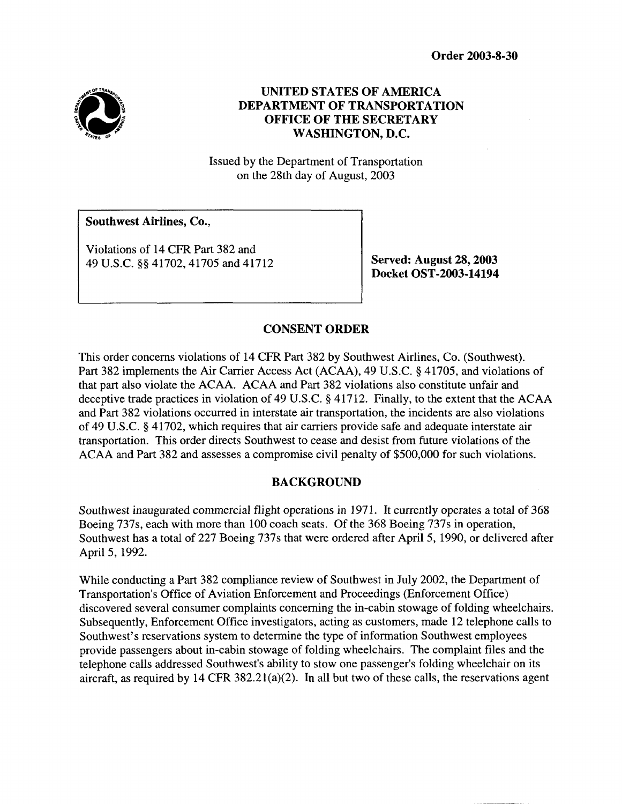**Order 2003-8-30** 



# **UNITED STATES OF AMERICA DEPARTMENT OF TRANSPORTATION OFFICE OF THE SECRETARY WASHINGTON, D.C.**

Issued by the Department of Transportation on the 28th day of August, 2003

**Southwest Airlines, Co.,** 

Violations of 14 CFR Part 382 and 49 U.S.C. *QQ* 41702,41705 and 41712 **Served: August 28,2003** 

**Docket OST-2003-14194** 

# **CONSENT ORDER**

This order concerns violations of 14 CFR Part 382 **by** Southwest Airlines, Co. (Southwest). Part 382 implements the Air Carrier Access Act (ACAA), 49 U.S.C. § 41705, and violations of that part also violate the ACAA. ACAA and Part 382 violations also constitute unfair and deceptive trade practices in violation of 49 U.S.C. § 41712. Finally, to the extent that the ACAA and Part 382 violations occurred in interstate air transportation, the incidents are also violations of 49 U.S.C. *Q* 41702, which requires that air carriers provide safe and adequate interstate air transportation. This order directs Southwest to cease and desist from future violations of the ACAA and Part 382 and assesses a compromise civil penalty of \$500,000 for such violations.

# **BACKGROUND**

Southwest inaugurated commercial flight operations in 1971. It currently operates a total of **368**  Boeing 737s, each with more than 100 coach seats. Of the 368 Boeing 737s in operation, Southwest has a total of 227 Boeing 737s that were ordered after April *5,* 1990, or delivered after April 5, 1992.

While conducting a Part 382 compliance review of Southwest in July 2002, the Department of Transportation's Office of Aviation Enforcement and Proceedings (Enforcement Office) discovered several consumer complaints concerning the in-cabin stowage of folding wheelchairs. Subsequently, Enforcement Office investigators, acting as customers, made 12 telephone calls to Southwest's reservations system to determine the type of information Southwest employees provide passengers about in-cabin stowage of folding wheelchairs. The complaint files and the telephone calls addressed Southwest's ability to stow one passenger's folding wheelchair on its aircraft, **as** required by 14 CFR 382.21(a)(2). In all but two of these calls, the reservations agent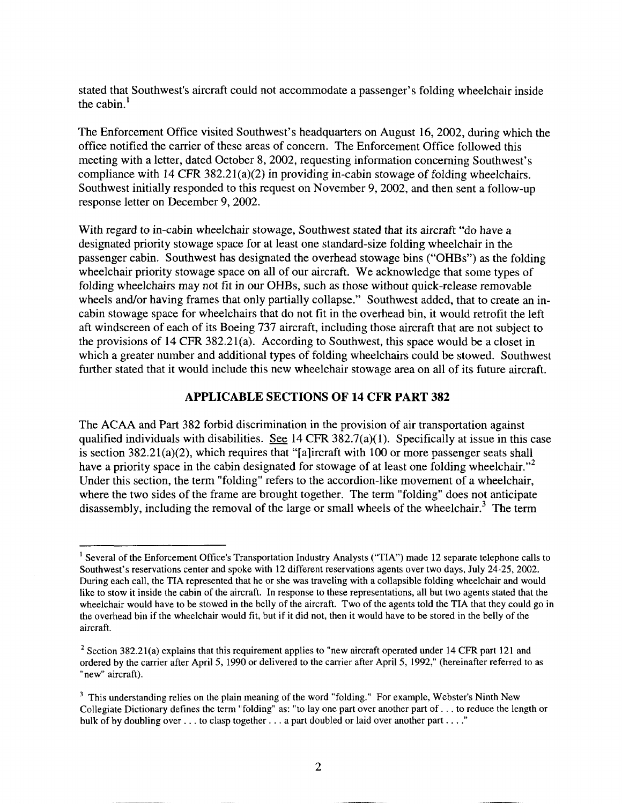stated that Southwest's aircraft could not accommodate a passenger's folding wheelchair inside the cabin.'

The Enforcement Office visited Southwest's headquarters on August 16,2002, during which the office notified the carrier of these areas of concern. The Enforcement Office followed this meeting with a letter, dated October 8,2002, requesting information concerning Southwest's compliance with 14 CFR  $382.21(a)(2)$  in providing in-cabin stowage of folding wheelchairs. Southwest initially responded to this request on November 9,2002, and then sent a follow-up response letter on December 9,2002.

With regard to in-cabin wheelchair stowage, Southwest stated that its aircraft "do have **a**  designated priority stowage space for at least one standard-size folding wheelchair in the passenger cabin. Southwest has designated the overhead stowage bins ("OHBs") as the folding wheelchair priority stowage space on all of our aircraft. We acknowledge that some types of folding wheelchairs may not fit in our OHBs, such as those without quick-release removable wheels and/or having frames that only partially collapse." Southwest added, that to create an incabin stowage space for wheelchairs that do not fit in the overhead bin, it would retrofit the left aft windscreen of each of its Boeing 737 aircraft, including those aircraft that are not subject to the provisions of 14 CFR 382.21(a). According to Southwest, this space would be a closet in which a greater number and additional types of folding wheelchairs could be stowed. Southwest further stated that it would include this new wheelchair stowage area on all of its future aircraft.

### **APPLICABLE SECTIONS OF 14 CFR PART 382**

The ACAA and Part 382 forbid discrimination in the provision of air transportation against qualified individuals with disabilities. **See** 14 CFR 382.7(a)( 1). Specifically at issue in this case is section  $382.21(a)(2)$ , which requires that "[a]ircraft with 100 or more passenger seats shall have a priority space in the cabin designated for stowage of at least one folding wheelchair."<sup>2</sup> Under this section, the term "folding" refers to the accordion-like movement of a wheelchair, where the two sides of the frame are brought together. The term "folding" does not anticipate disassembly, including the removal of the large or small wheels of the wheelchair.<sup>3</sup> The term

<sup>&</sup>lt;sup>1</sup> Several of the Enforcement Office's Transportation Industry Analysts ("TIA") made 12 separate telephone calls to Southwest's reservations center and spoke with 12 different reservations agents over two days, July 24-25,2002. During each call, the TIA represented that he or she was traveling with a collapsible folding wheelchair and would like to stow it inside the cabin of the aircraft. In response to these representations, all but two agents stated that the wheelchair would have to be stowed in the belly of the aircraft. Two of the agents told the TIA that they could go in the overhead bin if the wheelchair would fit, but if it did not, then it would have to be stored in the belly of the aircraft.

<sup>&</sup>lt;sup>2</sup> Section 382.21(a) explains that this requirement applies to "new aircraft operated under 14 CFR part 121 and ordered by the carrier after April 5, 1990 **or** delivered to the carrier after April 5, 1992," (hereinafter referred to as "new" aircraft).

<sup>&</sup>lt;sup>3</sup> This understanding relies on the plain meaning of the word "folding." For example, Webster's Ninth New Collegiate Dictionary defines the term "folding" as: "to lay one part over another part of. . . to reduce the length or bulk of by doubling over . . . to clasp together . . . a part doubled or laid over another part . . . . "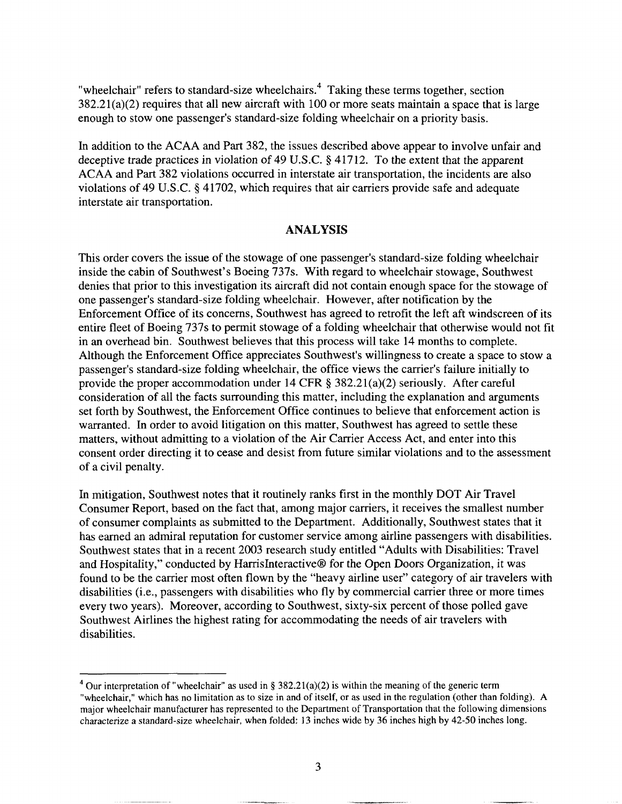"wheelchair" refers to standard-size wheelchairs. $<sup>4</sup>$  Taking these terms together, section</sup> 382.21(a)(2) requires that all new aircraft with 100 or more seats maintain a space that is large enough to stow one passenger's standard-size folding wheelchair on a priority basis.

In addition to the ACAA and **Part** 382, the issues described above appear to involve unfair and deceptive trade practices in violation of 49 U.S.C. § 41712. To the extent that the apparent ACAA and **Part** 382 violations occurred in interstate air transportation, the incidents are also violations of 49 U.S.C. **3** 41702, which requires that air carriers provide safe and adequate interstate air transportation.

#### **ANALYSIS**

This order covers the issue of the stowage of one passenger's standard-size folding wheelchair inside the cabin of Southwest's Boeing 737s. With regard to wheelchair stowage, Southwest denies that prior to this investigation its aircraft did not contain enough space for the stowage of one passenger's standard-size folding wheelchair. However, after notification by the Enforcement Office of its concerns, Southwest has agreed to retrofit the left aft windscreen of its entire fleet of Boeing 737s to permit stowage of a folding wheelchair that otherwise would not fit in an overhead bin. Southwest believes that this process will take **14** months to complete. Although the Enforcement Office appreciates Southwest's willingness to create a space to stow a passenger's standard-size folding wheelchair, the office views the carrier's failure initially to provide the proper accommodation under 14 CFR **3** 382.21(a)(2) seriously. After careful consideration of all the facts surrounding this matter, including the explanation and arguments set forth by Southwest, the Enforcement Office continues to believe that enforcement action is warranted. In order to avoid litigation on this matter, Southwest has agreed to settle these matters, without admitting **to** a violation of the Air Carrier Access Act, and enter into this consent order directing it to cease and desist from future similar violations and to the assessment of a civil penalty.

In mitigation, Southwest notes that it routinely ranks first in the monthly DOT Air Travel Consumer Report, based on the fact that, among major carriers, it receives the smallest number of consumer complaints as submitted to the Department. Additionally, Southwest states that it has earned an admiral reputation for customer service among airline passengers with disabilities. Southwest states that in a recent 2003 research study entitled "Adults with Disabilities: Travel and Hospitality," conducted by HarrisInteractive® for the Open Doors Organization, it was found to be the carrier most often flown by the "heavy airline user" category of air travelers with disabilities (i.e., passengers with disabilities who fly by commercial carrier three or more times every two years). Moreover, according to Southwest, sixty-six percent of those polled gave Southwest Airlines the highest rating for accommodating the needs of air travelers with disabilities.

Our interpretation of "wheelchair" as used in *5* 382.21(a)(2) is within the meaning of the generic term "wheelchair," which has no limitation as to size in and of itself, or as used in the regulation (other than folding). **A**  major wheelchair manufacturer has represented to the Department of Transportation that the following dimensions characterize **a** standard-size wheelchair, when folded: 13 inches wide **by** 36 inches high by 42-50 inches long.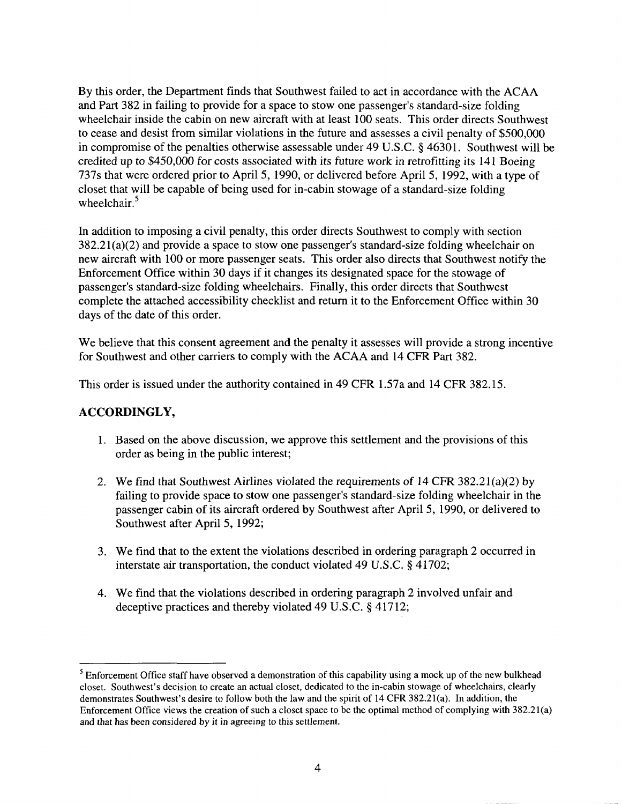By this order, the Department finds that Southwest failed to act in accordance with the ACAA and **Part** 382 in failing to provide for a space to stow one passenger's standard-size folding wheelchair inside the cabin on new aircraft with at least 100 seats. This order directs Southwest to cease and desist from similar violations in the future and assesses a civil penalty of \$500,000 in compromise of the penalties otherwise assessable under 49 U.S.C. **0** 46301. Southwest will be credited up to \$450,000 for costs associated with its future work in retrofitting its 141 Boeing 737s that were ordered prior to April 5, 1990, or delivered before April 5, 1992, with a type of closet that will be capable of being used for in-cabin stowage of a standard-size folding wheelchair.<sup>5</sup>

In addition to imposing a civil penalty, this order directs Southwest to comply with section  $382.21(a)(2)$  and provide a space to stow one passenger's standard-size folding wheelchair on new aircraft with 100 or more passenger seats. This order also directs that Southwest notify the Enforcement Office within 30 days if it changes its designated space for the stowage of passenger's standard-size folding wheelchairs. Finally, this order directs that Southwest complete the attached accessibility checklist and return it to the Enforcement Office within 30 days of the date of this order.

We believe that this consent agreement and the penalty it assesses will provide a strong incentive for Southwest and other carriers to comply with the ACAA and 14 CFR **Part** 382.

This order is issued under the authority contained in 49 CFR 1.57a and 14 CFR 382.15.

# **ACCORDINGLY,**

- 1. Based on the above discussion, we approve this settlement and the provisions of this order **as** being in the public interest;
- 2. We find that Southwest Airlines violated the requirements of 14 CFR 382.21(a)(2) by failing to provide space to stow one passenger's standard-size folding wheelchair in the passenger cabin of its aircraft ordered by Southwest after April 5, 1990, or delivered to Southwest after April 5, 1992;
- 3. We find that to the extent the violations described in ordering paragraph 2 occurred in interstate air transportation, the conduct violated 49 U.S.C. **8** 41702;
- 4. We find that the violations described in ordering paragraph 2 involved unfair and deceptive practices and thereby violated 49 U.S.C. § 41712;

<sup>&</sup>lt;sup>5</sup> Enforcement Office staff have observed a demonstration of this capability using a mock up of the new bulkhead closet. Southwest's decision to create an actual closet, dedicated to the in-cabin stowage of wheelchairs, clearly demonstrates Southwest's desire to follow both the law and the spirit of 14 CFR 382.21(a). In addition, the Enforcement Office views the creation of such a closet space to be the optimal method of complying with 382.21(a) and that has been considered by it in agreeing *to* this settlement.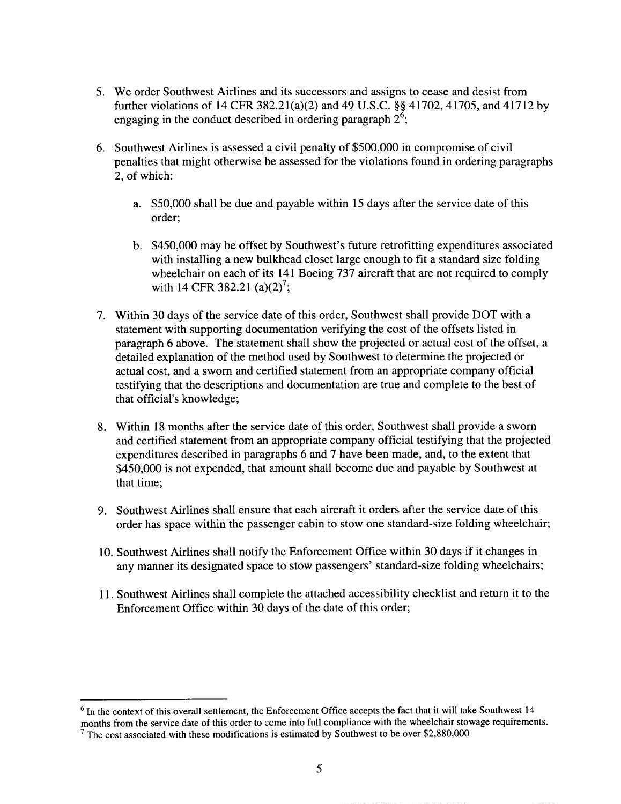- 5. We order Southwest Airlines and its successors and assigns to cease and desist from further violations of 14 **CFR** 382.21(a)(2) and 49 **U.S.C.\$6** 41702,41705, and 41712 by engaging in the conduct described in ordering paragraph *26;*
- *6.* Southwest Airlines is assessed a civil penalty of \$500,000 in compromise of civil penalties that might otherwise be assessed for the violations found in ordering paragraphs 2, of which:
	- a. \$50,000 shall be due and payable within 15 days after the service date of this order;
	- b. \$450,000 may be offset by Southwest's future retrofitting expenditures associated with installing a new bulkhead closet large enough to fit a standard size folding wheelchair on each of its 141 Boeing 737 aircraft that are not required to comply with 14 CFR 382.21  $(a)(2)^7$ ;
- 7. Within 30 days of the service date of this order, Southwest shall provide DOT with a statement with supporting documentation verifying the cost of the offsets listed in paragraph *6* above. The statement shall show the projected or actual cost of the offset, a detailed explanation of the method used by Southwest to determine the projected or actual cost, and a sworn and certified statement from an appropriate company official testifying that the descriptions and documentation are true and complete to the best of that official's knowledge;
- **8.** Within 18 months after the service date of this order, Southwest shall provide a sworn and certified statement from an appropriate company official testifying that the projected expenditures described in paragraphs *6* and 7 have been made, and, to the extent that \$450,000 is not expended, that amount shall become due and payable by Southwest at that time;
- **9.** Southwest Airlines shall ensure that each aircraft it orders after the service date of this order has space within the passenger cabin to stow one standard-size folding wheelchair;
- 10. Southwest Airlines shall notify the Enforcement Office within 30 days if it changes in any manner its designated space to stow passengers' standard-size folding wheelchairs;
- 11. Southwest Airlines shall complete the attached accessibility checklist and return it to the Enforcement Office within 30 days of the date of this order;

<sup>&</sup>lt;sup>6</sup> In the context of this overall settlement, the Enforcement Office accepts the fact that it will take Southwest 14 months from the service date of this order to come into full compliance with the wheelchair stowage requirements.

 $7$  The cost associated with these modifications is estimated by Southwest to be over \$2,880,000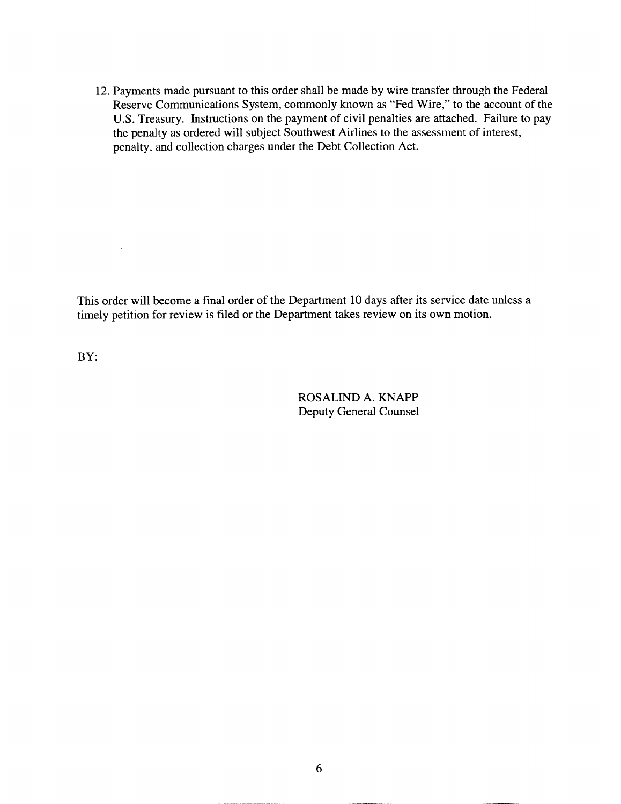12. Payments made pursuant to this order shall be made by wire transfer through the Federal Reserve Communications System, commonly known as "Fed Wire," to the account of the **U.S.** Treasury. Instructions on the payment of civil penalties are attached. Failure to pay the penalty as ordered will subject Southwest Airlines to the assessment of interest, penalty, and collection charges under the Debt Collection Act.

This order will become a final order of the Department 10 days after its service date unless a timely petition for review is filed or the Department takes review on its own motion.

**BY:** 

 $\sim 10^7$ 

ROSALIND A. KNAPP Deputy General Counsel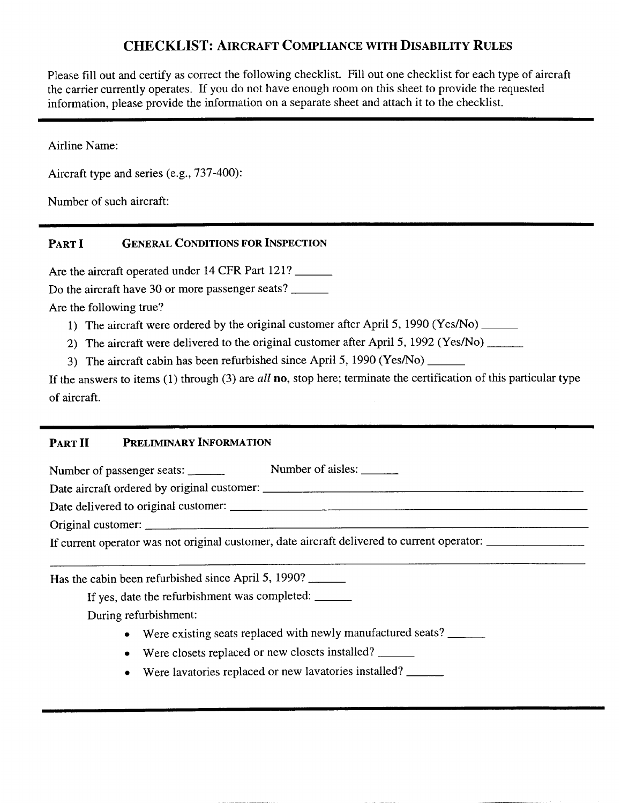# **CHECKLIST: AIRCRAFT COMPLIANCE WITH DISABILITY RULES**

Please fill out and certify as correct the following checklist. Fill out one checklist for each type of aircraft the carrier currently operates. If you do not have enough room on this sheet to provide the requested information, please provide the information on a separate sheet and attach it to the checklist.

Airline Name:

Aircraft type and series (e.g., 737-400):

Number of such aircraft:

PART **I** GENERAL CONDITIONS FOR INSPECTION

Are the aircraft operated under 14 CFR **Part** 121?

Do the aircraft have 30 or more passenger seats?

Are the following true?

- 1) The aircraft were ordered by the original customer after April 5, 1990 (Yes/No)
- 2) The aircraft were delivered to the original customer after April 5, 1992 (Yes/No)
- 3) The aircraft cabin has been refurbished since April 5, 1990 (Yes/No)

If the answers to items (1) through **(3)** are *all* **no,** stop here; terminate the certification of this particular type of aircraft.

#### **PARTI1 PRELIMINARY INFORMATION**

Number of passenger seats: Number of aisles: Date aircraft ordered by original customer: Date delivered to original customer: Original customer: If current operator was not original customer, date aircraft delivered to current operator: Has the cabin been refurbished since April 5, 1990? If yes, date the refurbishment was completed: During refurbishment: • Were existing seats replaced with newly manufactured seats?

- Were closets replaced or new closets installed?
- *0* Were lavatories replaced or new lavatories installed?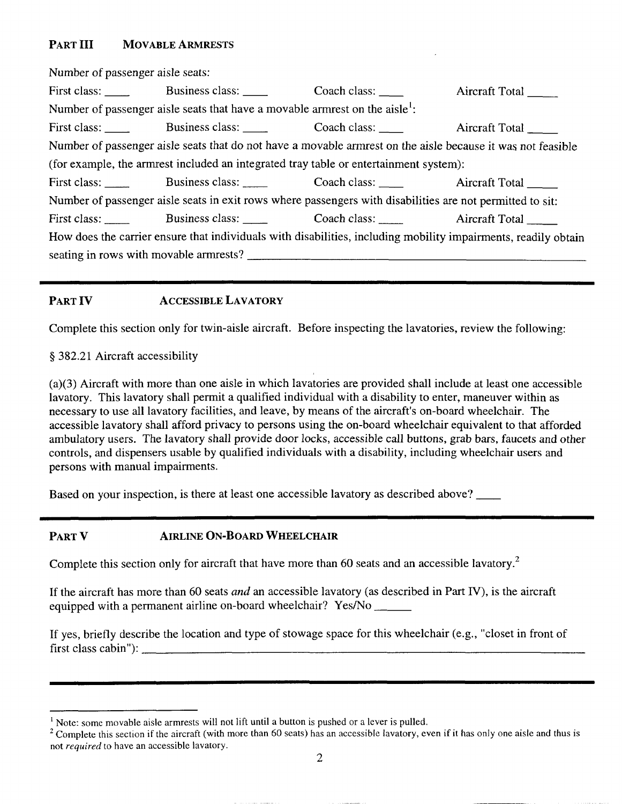# PART **III** MOVABLE ARMRESTS

| Number of passenger aisle seats: |                                                                                                           |                                                                                                                |
|----------------------------------|-----------------------------------------------------------------------------------------------------------|----------------------------------------------------------------------------------------------------------------|
|                                  | First class: Business class: Coach class: Aircraft Total                                                  |                                                                                                                |
|                                  | Number of passenger aisle seats that have a movable armrest on the aisle <sup>1</sup> :                   |                                                                                                                |
|                                  | First class: Business class: Coach class: Aircraft Total                                                  |                                                                                                                |
|                                  |                                                                                                           | Number of passenger aisle seats that do not have a movable armrest on the aisle because it was not feasible    |
|                                  | (for example, the armrest included an integrated tray table or entertainment system):                     |                                                                                                                |
|                                  | First class: Business class: Coach class: Aircraft Total ______                                           |                                                                                                                |
|                                  | Number of passenger aisle seats in exit rows where passengers with disabilities are not permitted to sit: |                                                                                                                |
|                                  | First class: Business class: Coach class: Aircraft Total                                                  |                                                                                                                |
|                                  |                                                                                                           | How does the carrier ensure that individuals with disabilities, including mobility impairments, readily obtain |
|                                  |                                                                                                           |                                                                                                                |
|                                  |                                                                                                           |                                                                                                                |

### **PART IV ACCESSIBLE LAVATORY**

Complete this section only for twin-aisle aircraft. Before inspecting the lavatories, review the following:

~~ \_\_\_\_\_\_\_\_\_~~~~~~

### **9** 382.21 Aircraft accessibility

(a)(3) Aircraft with more than one aisle in which lavatories are provided shall include at least one accessible lavatory. This lavatory shall permit a qualified individual with a disability to enter, maneuver within as necessary to use all lavatory facilities, and leave, by means of the aircraft's on-board wheelchair. The accessible lavatory shall afford privacy to persons using the on-board wheelchair equivalent to that afforded ambulatory users. The lavatory shall provide door locks, accessible call buttons, grab bars, faucets and other controls, and dispensers usable by qualified individuals with a disability, including wheelchair users and persons with manual impairments.

Based on your inspection, is there at least one accessible lavatory as described above?

### **PART V AIRLINE ON-BOARD WHEELCHAIR**

Complete this section only for aircraft that have more than 60 seats and an accessible lavatory.<sup>2</sup>

If the aircraft has more than 60 seats *and* an accessible lavatory (as described in Part IV), is the aircraft equipped with a permanent airline on-board wheelchair? Yes/No

If yes, briefly describe the location and type of stowage space for this wheelchair (e.g., "closet in front of first class cabin"):

<sup>&</sup>lt;sup>1</sup> Note: some movable aisle armrests will not lift until a button is pushed or a lever is pulled.

Complete this section if the aircraft (with more than 60 seats) has an accessible lavatory, even **if** it has only one aisle and thus **is**  not *required* to have an accessible lavatory.